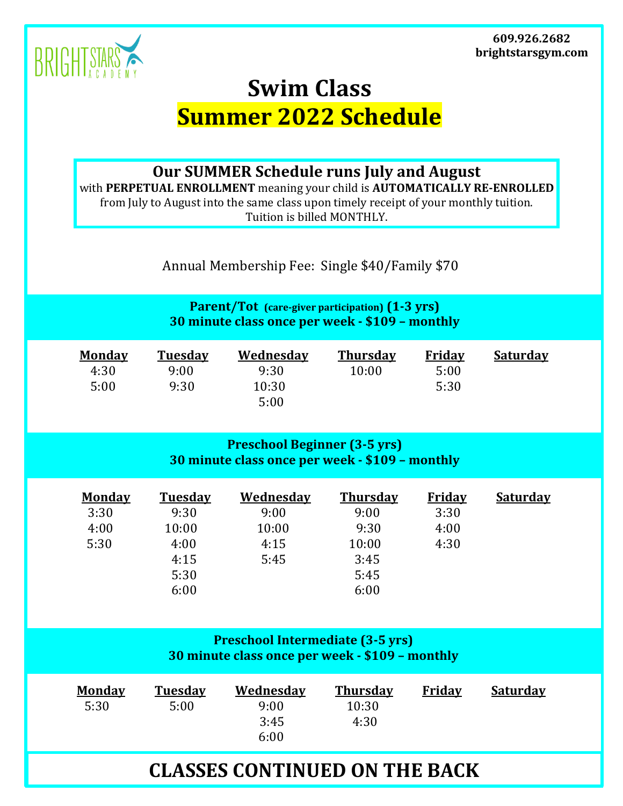**609.926.2682 brightstarsgym.com**



## **Swim Class Summer 2022 Schedule**

**Our SUMMER Schedule runs July and August**

with **PERPETUAL ENROLLMENT** meaning your child is **AUTOMATICALLY RE-ENROLLED** from July to August into the same class upon timely receipt of your monthly tuition. Tuition is billed MONTHLY.

Annual Membership Fee: Single \$40/Family \$70

**Parent/Tot (care-giver participation) (1-3 yrs) 30 minute class once per week - \$109 – monthly**

| <b>Monday</b> | <b>Tuesday</b> | Wednesday | <b>Thursday</b> | Friday | <b>Saturday</b> |
|---------------|----------------|-----------|-----------------|--------|-----------------|
| 4:30          | 9:00           | 9:30      | 10:00           | 5:00   |                 |
| 5:00          | 9:30           | 10:30     |                 | 5:30   |                 |
|               |                | 5:00      |                 |        |                 |

## **Preschool Beginner (3-5 yrs) 30 minute class once per week - \$109 – monthly**

|      | <b>Monday</b><br><b>Tuesday</b> | <u>Wednesdav</u> | <b>Thursday</b> | <b>Friday</b> | <b>Saturday</b> |
|------|---------------------------------|------------------|-----------------|---------------|-----------------|
| 3:30 | 9:30                            | 9:00             | 9:00            | 3:30          |                 |
| 4:00 | 10:00                           | 10:00            | 9:30            | 4:00          |                 |
| 5:30 | 4:00                            | 4:15             | 10:00           | 4:30          |                 |
|      | 4:15                            | 5:45             | 3:45            |               |                 |
|      | 5:30                            |                  | 5:45            |               |                 |
|      | 6:00                            |                  | 6:00            |               |                 |

## **Preschool Intermediate (3-5 yrs) 30 minute class once per week - \$109 – monthly**

|  | <b>Monday</b><br>5:30 | <b>Tuesday</b><br>5:00 | Wednesday<br>9:00<br>3:45<br>6:00 | <b>Thursday</b><br>10:30<br>4:30 | Friday | <b>Saturday</b> |  |
|--|-----------------------|------------------------|-----------------------------------|----------------------------------|--------|-----------------|--|
|--|-----------------------|------------------------|-----------------------------------|----------------------------------|--------|-----------------|--|

## **CLASSES CONTINUED ON THE BACK**